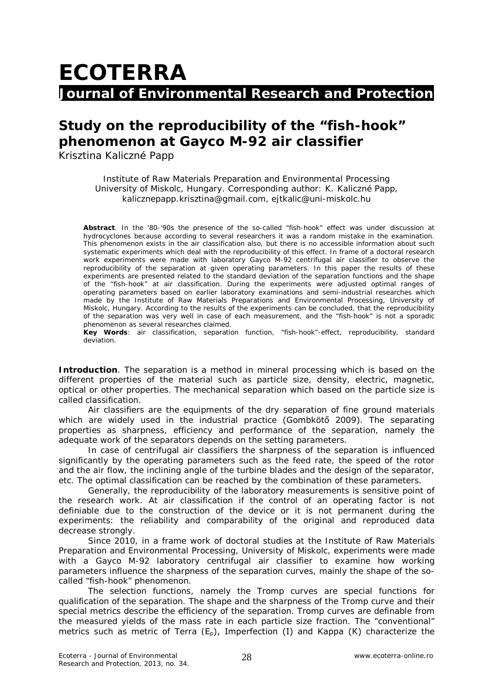## **ECOTERRA Journal of Environmental Research and Protection**

## **Study on the reproducibility of the "fish-hook" phenomenon at Gayco M-92 air classifier**

Krisztina Kaliczné Papp

Institute of Raw Materials Preparation and Environmental Processing University of Miskolc, Hungary. Corresponding author: K. Kaliczné Papp, kalicznepapp.krisztina@gmail.com, ejtkalic@uni-miskolc.hu

**Abstract**. In the '80-'90s the presence of the so-called "fish-hook" effect was under discussion at hydrocyclones because according to several researchers it was a random mistake in the examination. This phenomenon exists in the air classification also, but there is no accessible information about such systematic experiments which deal with the reproducibility of this effect. In frame of a doctoral research work experiments were made with laboratory Gayco M-92 centrifugal air classifier to observe the reproducibility of the separation at given operating parameters. In this paper the results of these experiments are presented related to the standard deviation of the separation functions and the shape of the "fish-hook" at air classification. During the experiments were adjusted optimal ranges of operating parameters based on earlier laboratory examinations and semi-industrial researches which made by the Institute of Raw Materials Preparations and Environmental Processing, University of Miskolc, Hungary. According to the results of the experiments can be concluded, that the reproducibility of the separation was very well in case of each measurement, and the "fish-hook" is not a sporadic phenomenon as several researches claimed.

**Key Words**: air classification, separation function, "fish-hook"-effect, reproducibility, standard deviation.

**Introduction**. The separation is a method in mineral processing which is based on the different properties of the material such as particle size, density, electric, magnetic, optical or other properties. The mechanical separation which based on the particle size is called classification.

Air classifiers are the equipments of the dry separation of fine ground materials which are widely used in the industrial practice (Gombkötő 2009). The separating properties as sharpness, efficiency and performance of the separation, namely the adequate work of the separators depends on the setting parameters.

In case of centrifugal air classifiers the sharpness of the separation is influenced significantly by the operating parameters such as the feed rate, the speed of the rotor and the air flow, the inclining angle of the turbine blades and the design of the separator, etc. The optimal classification can be reached by the combination of these parameters.

Generally, the reproducibility of the laboratory measurements is sensitive point of the research work. At air classification if the control of an operating factor is not definiable due to the construction of the device or it is not permanent during the experiments: the reliability and comparability of the original and reproduced data decrease strongly.

Since 2010, in a frame work of doctoral studies at the Institute of Raw Materials Preparation and Environmental Processing, University of Miskolc, experiments were made with a Gayco M-92 laboratory centrifugal air classifier to examine how working parameters influence the sharpness of the separation curves, mainly the shape of the socalled "fish-hook" phenomenon.

The selection functions, namely the Tromp curves are special functions for qualification of the separation. The shape and the sharpness of the Tromp curve and their special metrics describe the efficiency of the separation. Tromp curves are definable from the measured yields of the mass rate in each particle size fraction. The "conventional" metrics such as metric of Terra  $(E_n)$ , Imperfection (I) and Kappa (K) characterize the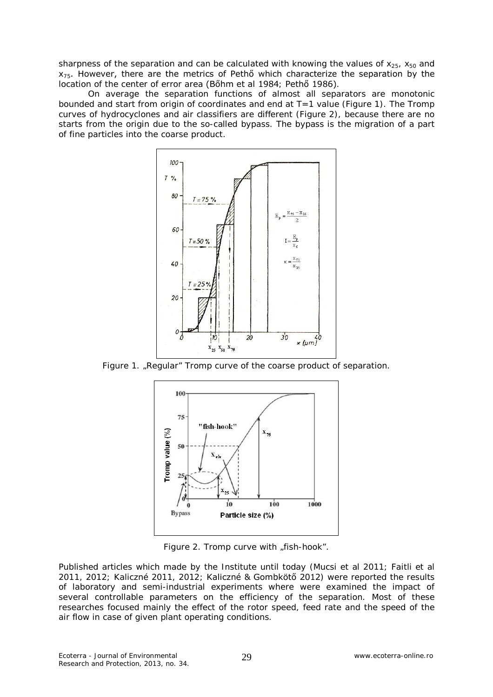sharpness of the separation and can be calculated with knowing the values of  $x_{25}$ ,  $x_{50}$  and  $x_{75}$ . However, there are the metrics of Pethő which characterize the separation by the location of the center of error area (Bőhm et al 1984; Pethő 1986).

On average the separation functions of almost all separators are monotonic bounded and start from origin of coordinates and end at T=1 value (Figure 1). The Tromp curves of hydrocyclones and air classifiers are different (Figure 2), because there are no starts from the origin due to the so-called bypass. The bypass is the migration of a part of fine particles into the coarse product.



Figure 1. "Regular" Tromp curve of the coarse product of separation.



Figure 2. Tromp curve with "fish-hook".

Published articles which made by the Institute until today (Mucsi et al 2011; Faitli et al 2011, 2012; Kaliczné 2011, 2012; Kaliczné & Gombkötő 2012) were reported the results of laboratory and semi-industrial experiments where were examined the impact of several controllable parameters on the efficiency of the separation. Most of these researches focused mainly the effect of the rotor speed, feed rate and the speed of the air flow in case of given plant operating conditions.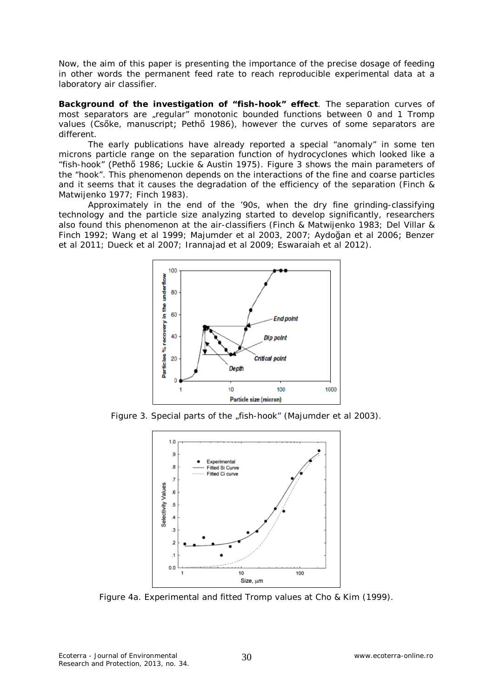Now, the aim of this paper is presenting the importance of the precise dosage of feeding in other words the permanent feed rate to reach reproducible experimental data at a laboratory air classifier.

**Background of the investigation of "fish-hook" effect**. The separation curves of most separators are "regular" monotonic bounded functions between 0 and 1 Tromp values (Csőke, manuscript; Pethő 1986), however the curves of some separators are different.

The early publications have already reported a special "anomaly" in some ten microns particle range on the separation function of hydrocyclones which looked like a "fish-hook" (Pethő 1986; Luckie & Austin 1975). Figure 3 shows the main parameters of the "hook". This phenomenon depends on the interactions of the fine and coarse particles and it seems that it causes the degradation of the efficiency of the separation (Finch & Matwijenko 1977; Finch 1983).

Approximately in the end of the '90s, when the dry fine grinding-classifying technology and the particle size analyzing started to develop significantly, researchers also found this phenomenon at the air-classifiers (Finch & Matwijenko 1983; Del Villar & Finch 1992; Wang et al 1999; Majumder et al 2003, 2007; Aydoğan et al 2006; Benzer et al 2011; Dueck et al 2007; Irannajad et al 2009; Eswaraiah et al 2012).



Figure 3. Special parts of the "fish-hook" (Majumder et al 2003).



Figure 4a. Experimental and fitted Tromp values at Cho & Kim (1999).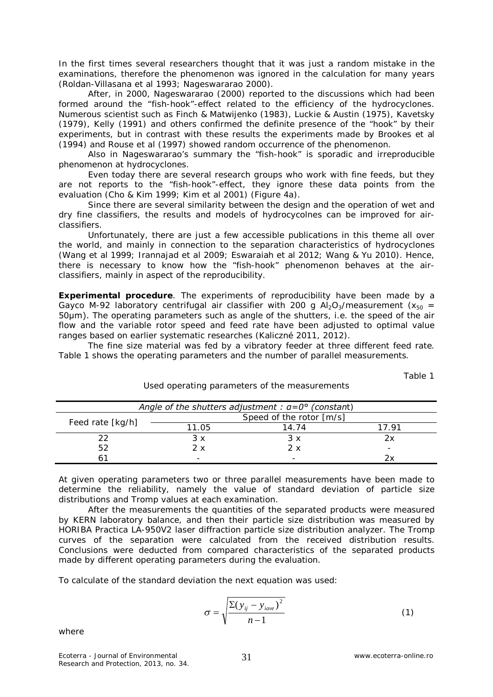In the first times several researchers thought that it was just a random mistake in the examinations, therefore the phenomenon was ignored in the calculation for many years (Roldan-Villasana et al 1993; Nageswararao 2000).

After, in 2000, Nageswararao (2000) reported to the discussions which had been formed around the "fish-hook"-effect related to the efficiency of the hydrocyclones. Numerous scientist such as Finch & Matwijenko (1983), Luckie & Austin (1975), Kavetsky (1979), Kelly (1991) and others confirmed the definite presence of the "hook" by their experiments, but in contrast with these results the experiments made by Brookes et al (1994) and Rouse et al (1997) showed random occurrence of the phenomenon.

Also in Nageswararao's summary the "fish-hook" is sporadic and irreproducible phenomenon at hydrocyclones.

Even today there are several research groups who work with fine feeds, but they are not reports to the "fish-hook"-effect, they ignore these data points from the evaluation (Cho & Kim 1999; Kim et al 2001) (Figure 4a).

Since there are several similarity between the design and the operation of wet and dry fine classifiers, the results and models of hydrocycolnes can be improved for airclassifiers.

Unfortunately, there are just a few accessible publications in this theme all over the world, and mainly in connection to the separation characteristics of hydrocyclones (Wang et al 1999; Irannajad et al 2009; Eswaraiah et al 2012; Wang & Yu 2010). Hence, there is necessary to know how the "fish-hook" phenomenon behaves at the airclassifiers, mainly in aspect of the reproducibility.

**Experimental procedure**. The experiments of reproducibility have been made by a Gayco M-92 laboratory centrifugal air classifier with 200 g  $Al_2O_3/m$ easurement ( $x_{50} =$ 50μm). The operating parameters such as angle of the shutters, i.e. the speed of the air flow and the variable rotor speed and feed rate have been adjusted to optimal value ranges based on earlier systematic researches (Kaliczné 2011, 2012).

The fine size material was fed by a vibratory feeder at three different feed rate. Table 1 shows the operating parameters and the number of parallel measurements.

Table 1

| Angle of the shutters adjustment : $a=0^{\circ}$ (constant) |                          |       |       |
|-------------------------------------------------------------|--------------------------|-------|-------|
| Feed rate [kg/h]                                            | Speed of the rotor [m/s] |       |       |
|                                                             | 11.05                    | 14.74 | 17 91 |
|                                                             | 3 x                      | 3x    | 2х    |
| 52                                                          | 2х                       | 2x    |       |
|                                                             |                          |       |       |

Used operating parameters of the measurements

At given operating parameters two or three parallel measurements have been made to determine the reliability, namely the value of standard deviation of particle size distributions and Tromp values at each examination.

After the measurements the quantities of the separated products were measured by KERN laboratory balance, and then their particle size distribution was measured by HORIBA Practica LA-950V2 laser diffraction particle size distribution analyzer. The Tromp curves of the separation were calculated from the received distribution results. Conclusions were deducted from compared characteristics of the separated products made by different operating parameters during the evaluation.

To calculate of the standard deviation the next equation was used:

$$
\sigma = \sqrt{\frac{\Sigma (y_{ij} - y_{iave})^2}{n - 1}}
$$
 (1)

where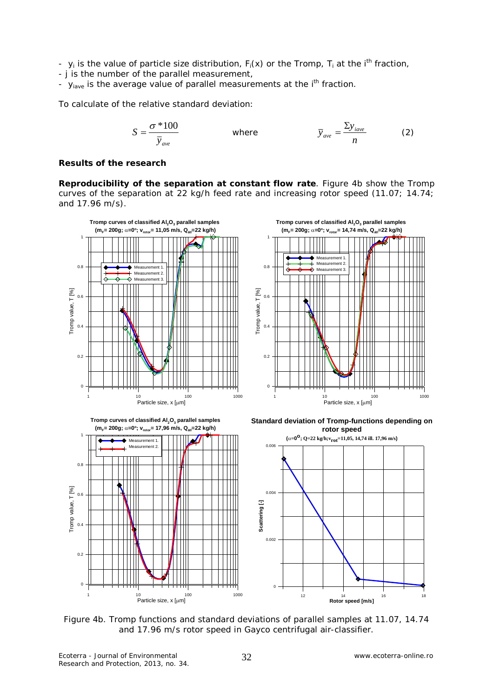-  $y_i$  is the value of particle size distribution,  $F_i(x)$  or the Tromp,  $T_i$  at the i<sup>th</sup> fraction,

- j is the number of the parallel measurement,
- $y<sub>have</sub>$  is the average value of parallel measurements at the i<sup>th</sup> fraction.

To calculate of the relative standard deviation:

$$
S = \frac{\sigma * 100}{\overline{y}_{ave}}
$$
 where  $\overline{y}_{ave} = \frac{\Sigma y_{iave}}{n}$  (2)

## **Results of the research**

*Reproducibility of the separation at constant flow rate.* Figure 4b show the Tromp curves of the separation at 22 kg/h feed rate and increasing rotor speed (11.07; 14.74; and 17.96 m/s).







Measurement 1 Measurement 2.

1 10 100 100 1000 Particle size,  $x$  [ $\mu$ m]

**Standard deviation of Tromp-functions depending on rotor speed**



Figure 4b. Tromp functions and standard deviations of parallel samples at 11.07, 14.74 and 17.96 m/s rotor speed in Gayco centrifugal air-classifier.

0

0.2

0.4

Tromp value, T [%]

Tromp value, T [%]

0.6

0.8

1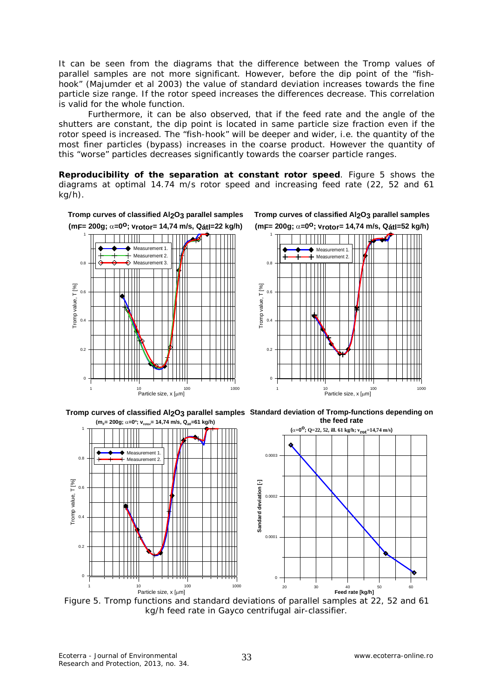It can be seen from the diagrams that the difference between the Tromp values of parallel samples are not more significant. However, before the dip point of the "fishhook" (Majumder et al 2003) the value of standard deviation increases towards the fine particle size range. If the rotor speed increases the differences decrease. This correlation is valid for the whole function.

Furthermore, it can be also observed, that if the feed rate and the angle of the shutters are constant, the dip point is located in same particle size fraction even if the rotor speed is increased. The "fish-hook" will be deeper and wider, i.e. the quantity of the most finer particles (bypass) increases in the coarse product. However the quantity of this "worse" particles decreases significantly towards the coarser particle ranges.

*Reproducibility of the separation at constant rotor speed.* Figure 5 shows the diagrams at optimal 14.74 m/s rotor speed and increasing feed rate (22, 52 and 61 kg/h).





**the feed rate**



Figure 5. Tromp functions and standard deviations of parallel samples at 22, 52 and 61 kg/h feed rate in Gayco centrifugal air-classifier.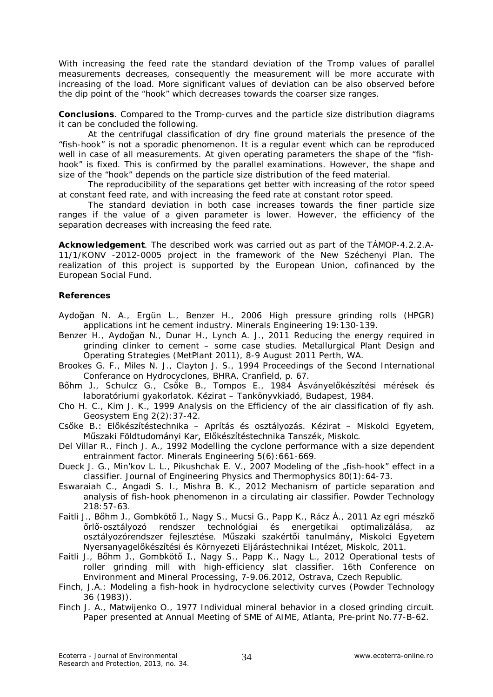With increasing the feed rate the standard deviation of the Tromp values of parallel measurements decreases, consequently the measurement will be more accurate with increasing of the load. More significant values of deviation can be also observed before the dip point of the "hook" which decreases towards the coarser size ranges.

**Conclusions**. Compared to the Tromp-curves and the particle size distribution diagrams it can be concluded the following.

At the centrifugal classification of dry fine ground materials the presence of the "fish-hook" is not a sporadic phenomenon. It is a regular event which can be reproduced well in case of all measurements. At given operating parameters the shape of the "fishhook" is fixed. This is confirmed by the parallel examinations. However, the shape and size of the "hook" depends on the particle size distribution of the feed material.

The reproducibility of the separations get better with increasing of the rotor speed at constant feed rate, and with increasing the feed rate at constant rotor speed.

The standard deviation in both case increases towards the finer particle size ranges if the value of a given parameter is lower. However, the efficiency of the separation decreases with increasing the feed rate.

**Acknowledgement**. The described work was carried out as part of the TÁMOP-4.2.2.A-11/1/KONV -2012-0005 project in the framework of the New Széchenyi Plan. The realization of this project is supported by the European Union, cofinanced by the European Social Fund.

## **References**

- Aydoğan N. A., Ergün L., Benzer H., 2006 High pressure grinding rolls (HPGR) applications int he cement industry. Minerals Engineering 19:130-139.
- Benzer H., Aydoğan N., Dunar H., Lynch A. J., 2011 Reducing the energy required in grinding clinker to cement – some case studies. Metallurgical Plant Design and Operating Strategies (MetPlant 2011), 8-9 August 2011 Perth, WA.
- Brookes G. F., Miles N. J., Clayton J. S., 1994 Proceedings of the Second International Conferance on Hydrocyclones, BHRA, Cranfield, p. 67.
- Bőhm J., Schulcz G., Csőke B., Tompos E., 1984 Ásványelőkészítési mérések és laboratóriumi gyakorlatok. Kézirat – Tankönyvkiadó, Budapest, 1984.
- Cho H. C., Kim J. K., 1999 Analysis on the Efficiency of the air classification of fly ash. Geosystem Eng 2(2):37-42.
- Csőke B.: Előkészítéstechnika Aprítás és osztályozás. Kézirat Miskolci Egyetem, Műszaki Földtudományi Kar, Előkészítéstechnika Tanszék, Miskolc.
- Del Villar R., Finch J. A., 1992 Modelling the cyclone performance with a size dependent entrainment factor. Minerals Engineering 5(6):661-669.
- Dueck J. G., Min'kov L. L., Pikushchak E. V., 2007 Modeling of the "fish-hook" effect in a classifier. Journal of Engineering Physics and Thermophysics 80(1):64-73.
- Eswaraiah C., Angadi S. I., Mishra B. K., 2012 Mechanism of particle separation and analysis of fish-hook phenomenon in a circulating air classifier. Powder Technology 218:57-63.
- Faitli J., Bőhm J., Gombkötő I., Nagy S., Mucsi G., Papp K., Rácz Á., 2011 Az egri mészkő őrlő-osztályozó rendszer technológiai és energetikai optimalizálása, az osztályozórendszer fejlesztése. Műszaki szakértői tanulmány, Miskolci Egyetem Nyersanyagelőkészítési és Környezeti Eljárástechnikai Intézet, Miskolc, 2011.
- Faitli J., Bőhm J., Gombkötő I., Nagy S., Papp K., Nagy L., 2012 Operational tests of roller grinding mill with high-efficiency slat classifier. 16th Conference on Environment and Mineral Processing, 7-9.06.2012, Ostrava, Czech Republic.
- Finch, J.A.: Modeling a fish-hook in hydrocyclone selectivity curves (Powder Technology 36 (1983)).
- Finch J. A., Matwijenko O., 1977 Individual mineral behavior in a closed grinding circuit. Paper presented at Annual Meeting of SME of AIME, Atlanta, Pre-print No.77-B-62.